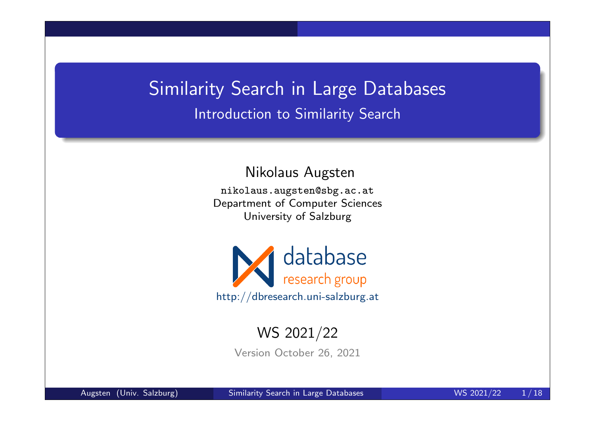# Similarity Search in Large Databases Introduction to Similarity Search

Nikolaus Augsten

nikolaus.augsten@sbg.ac.at Department of Computer Sciences University of Salzburg



#### WS 2021/22

Version October 26, 2021

Augsten (Univ. Salzburg) Similarity Search in Large Databases Number 2021/22 1/18

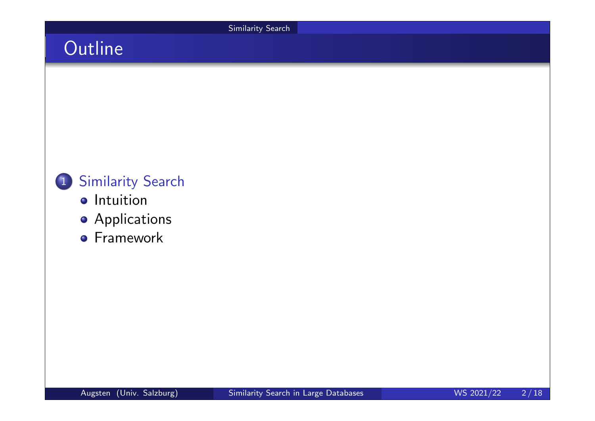# **Outline**



- **o** Intuition
- **•** Applications
- **•** Framework

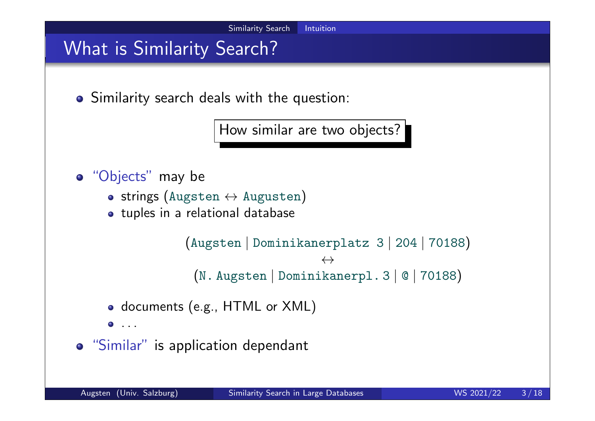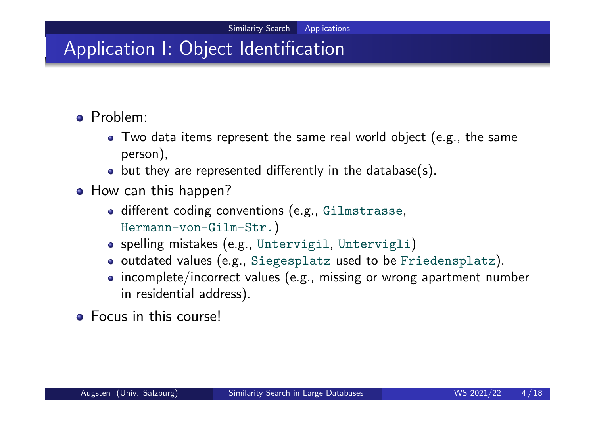## Application I: Object Identification

#### Problem:

- Two data items represent the same real world object (e.g., the same person),
- but they are represented differently in the database(s).
- How can this happen?
	- o different coding conventions (e.g., Gilmstrasse, Hermann-von-Gilm-Str.)
	- spelling mistakes (e.g., Untervigil, Untervigli)
	- o outdated values (e.g., Siegesplatz used to be Friedensplatz).
	- incomplete/incorrect values (e.g., missing or wrong apartment number in residential address).
- Focus in this course!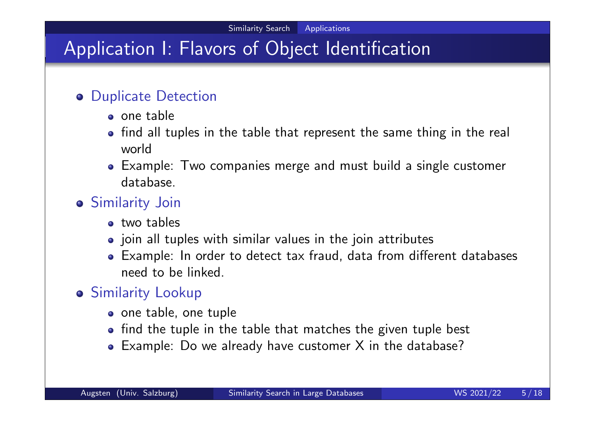## Application I: Flavors of Object Identification

#### **o** Duplicate Detection

- o one table
- find all tuples in the table that represent the same thing in the real world
- Example: Two companies merge and must build a single customer database.

#### Similarity Join

- two tables
- join all tuples with similar values in the join attributes
- Example: In order to detect tax fraud, data from different databases need to be linked.

#### **o** Similarity Lookup

- o one table, one tuple
- find the tuple in the table that matches the given tuple best
- Example: Do we already have customer X in the database?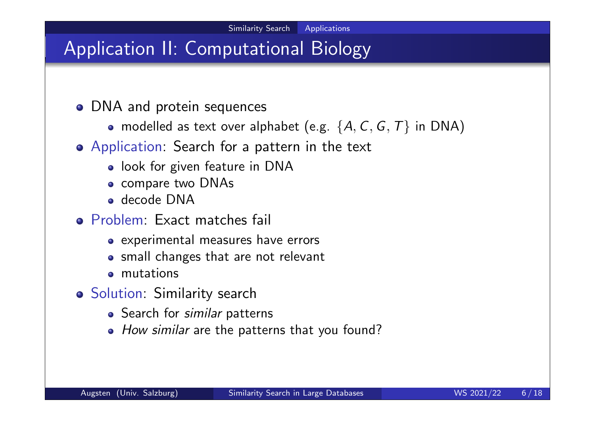## Application II: Computational Biology

- DNA and protein sequences
	- modelled as text over alphabet (e.g.  $\{A, C, G, T\}$  in DNA)
- Application: Search for a pattern in the text
	- o look for given feature in DNA
	- compare two DNAs
	- decode DNA
- Problem: Exact matches fail
	- experimental measures have errors
	- small changes that are not relevant
	- mutations
- **o** Solution: Similarity search
	- Search for *similar* patterns
	- How similar are the patterns that you found?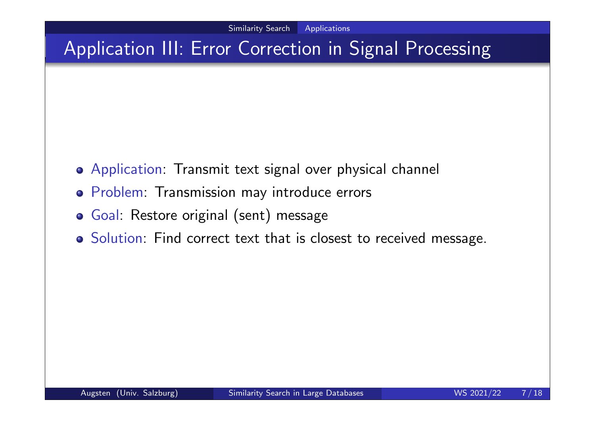# Application III: Error Correction in Signal Processing

- Application: Transmit text signal over physical channel
- Problem: Transmission may introduce errors
- Goal: Restore original (sent) message
- o Solution: Find correct text that is closest to received message.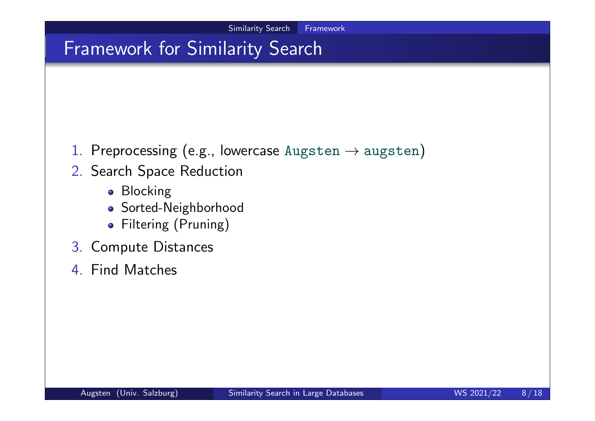### Framework for Similarity Search

- 1. Preprocessing (e.g., lowercase Augsten  $\rightarrow$  augsten)
- 2. Search Space Reduction
	- **•** Blocking
	- Sorted-Neighborhood
	- Filtering (Pruning)
- 3. Compute Distances
- 4. Find Matches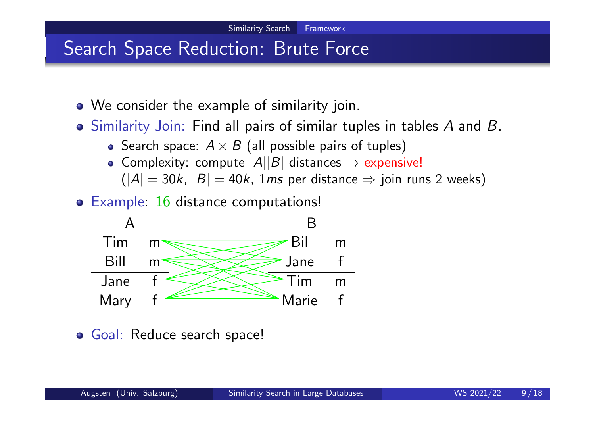## Search Space Reduction: Brute Force

- We consider the example of similarity join.
- Similarity Join: Find all pairs of similar tuples in tables A and B.
	- Search space:  $A \times B$  (all possible pairs of tuples)
	- Complexity: compute  $|A||B|$  distances  $\rightarrow$  expensive!  $(|A| = 30k, |B| = 40k, 1ms$  per distance  $\Rightarrow$  join runs 2 weeks)
- Example: 16 distance computations!



Goal: Reduce search space!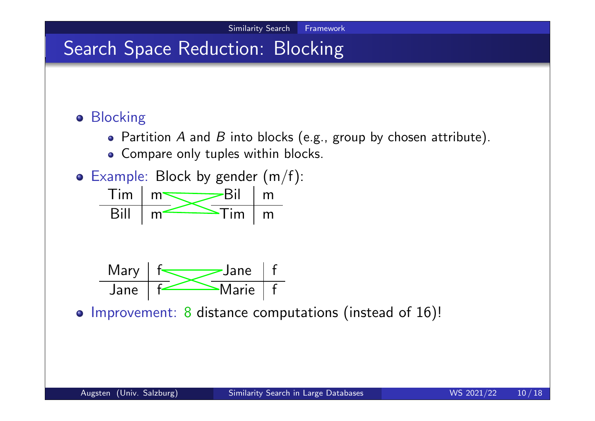# Search Space Reduction: Blocking

#### **o** Blocking

- Partition A and B into blocks (e.g., group by chosen attribute).
- Compare only tuples within blocks.







o Improvement: 8 distance computations (instead of 16)!

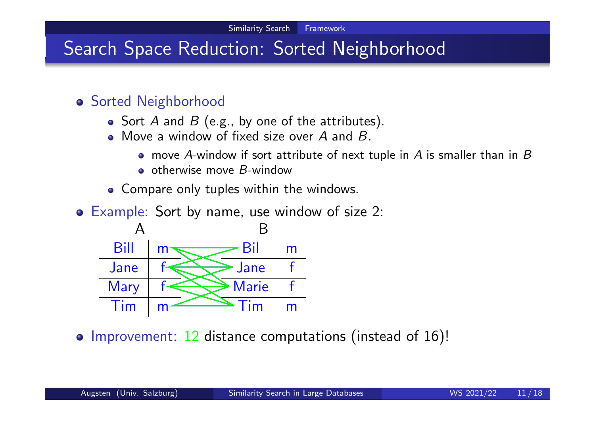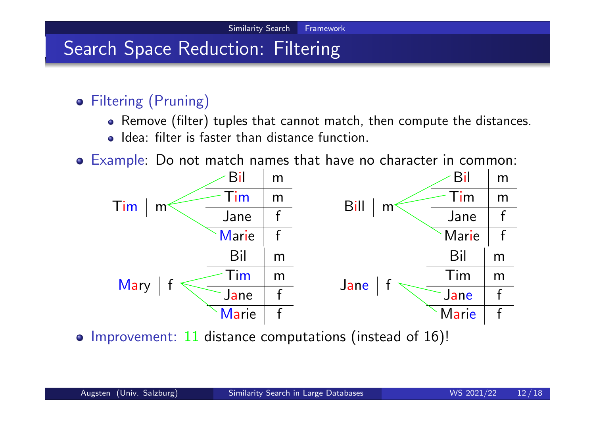## Search Space Reduction: Filtering

- Filtering (Pruning)
	- Remove (filter) tuples that cannot match, then compute the distances.
	- Idea: filter is faster than distance function.
- Example: Do not match names that have no character in common:

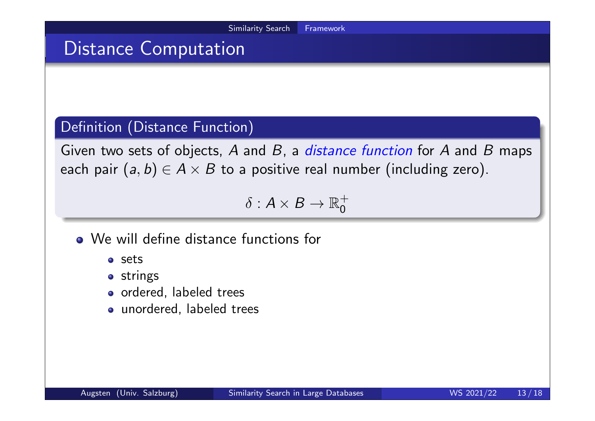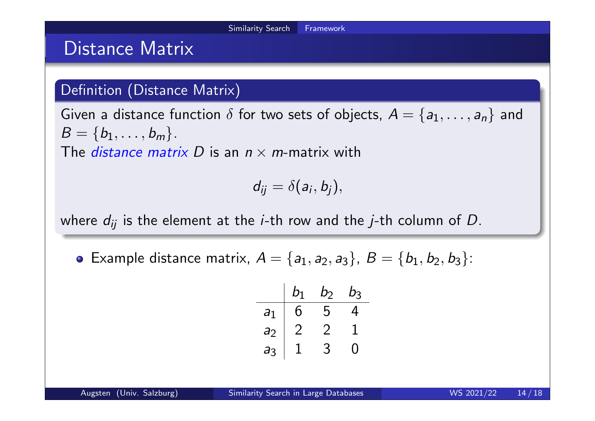### Distance Matrix

#### Definition (Distance Matrix)

Given a distance function  $\delta$  for two sets of objects,  $A = \{a_1, \ldots, a_n\}$  and  $B = \{b_1, \ldots, b_m\}.$ The *distance matrix D* is an  $n \times m$ -matrix with

$$
d_{ij}=\delta(a_i,b_j),
$$

where  $d_{ij}$  is the element at the *i*-th row and the *j*-th column of D.

Example distance matrix,  $A = \{a_1, a_2, a_3\}$ ,  $B = \{b_1, b_2, b_3\}$ :

b1 b2 b3 a1 6 5 4 a2 2 2 1 a3 1 3 0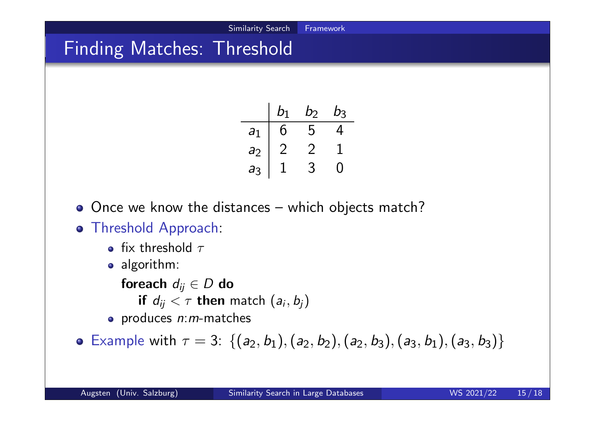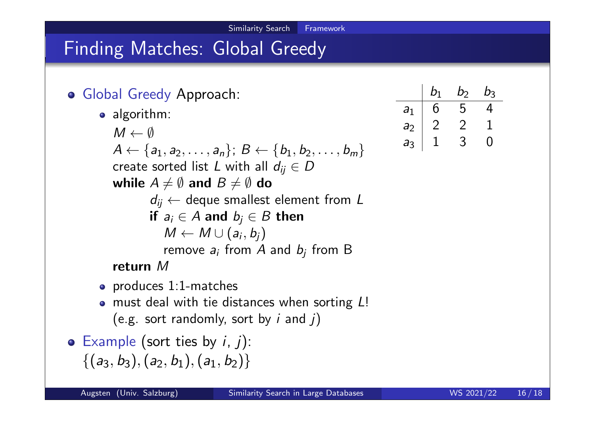### Finding Matches: Global Greedy

- Global Greedy Approach:
	- algorithm:

 $M \leftarrow \emptyset$  $A \leftarrow \{a_1, a_2, \ldots, a_n\}; B \leftarrow \{b_1, b_2, \ldots, b_m\}$ create sorted list L with all  $d_{ii} \in D$ while  $A \neq \emptyset$  and  $B \neq \emptyset$  do  $d_{ii} \leftarrow$  deque smallest element from L if  $a_i \in A$  and  $b_i \in B$  then  $M \leftarrow M \cup (a_i, b_j)$ remove  $a_i$  from  $A$  and  $b_j$  from  $\mathsf B$ return M

- produces 1:1-matches
- must deal with tie distances when sorting L! (e.g. sort randomly, sort by  $i$  and  $j$ )
- $\bullet$  Example (sort ties by *i*, *j*):  $\{(a_3, b_3), (a_2, b_1), (a_1, b_2)\}\$

$$
\begin{array}{c|cc}\n & b_1 & b_2 & b_3 \\
\hline\na_1 & 6 & 5 & 4 \\
a_2 & 2 & 2 & 1 \\
a_3 & 1 & 3 & 0\n\end{array}
$$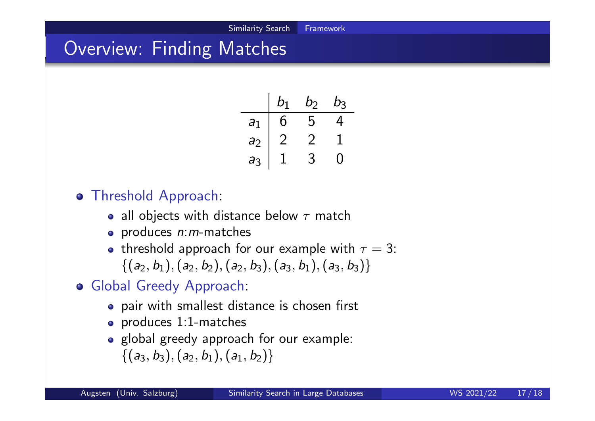## Overview: Finding Matches

|                  | $\bm{b_1}$ | $b_{2}$        | b3  |
|------------------|------------|----------------|-----|
| $\overline{a}$   | b          | 5              | 4   |
| $\overline{a_2}$ | $2\,$      | $\overline{2}$ |     |
| a <sub>3</sub>   |            | З              | ( ) |

- Threshold Approach:
	- all objects with distance below  $\tau$  match
	- produces  $n:m$ -matches
	- threshold approach for our example with  $\tau = 3$ :  $\{(a_2, b_1), (a_2, b_2), (a_2, b_3), (a_3, b_1), (a_3, b_3)\}\$
- Global Greedy Approach:
	- pair with smallest distance is chosen first
	- produces 1:1-matches
	- global greedy approach for our example:  $\{(a_3, b_3), (a_2, b_1), (a_1, b_2)\}$